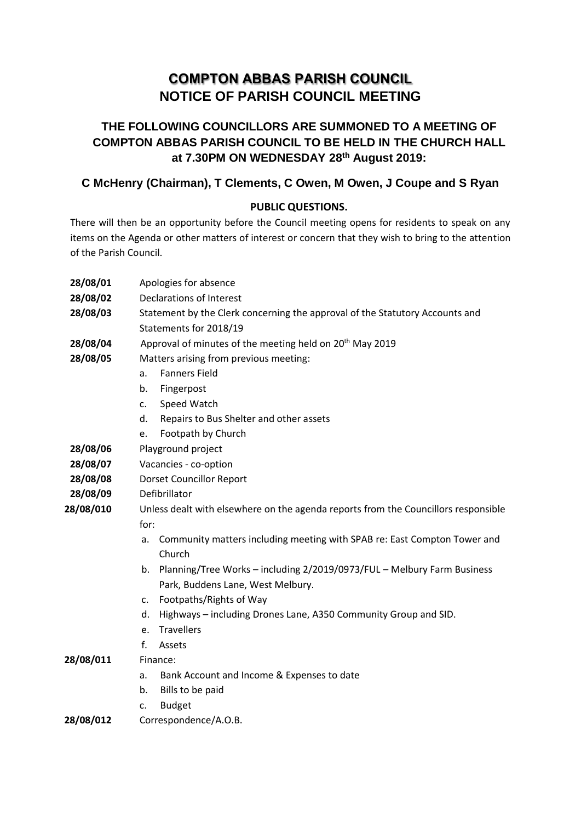# **COMPTON ABBAS PARISH COUNCIL NOTICE OF PARISH COUNCIL MEETING**

## **THE FOLLOWING COUNCILLORS ARE SUMMONED TO A MEETING OF COMPTON ABBAS PARISH COUNCIL TO BE HELD IN THE CHURCH HALL at 7.30PM ON WEDNESDAY 28th August 2019:**

## **C McHenry (Chairman), T Clements, C Owen, M Owen, J Coupe and S Ryan**

#### **PUBLIC QUESTIONS.**

There will then be an opportunity before the Council meeting opens for residents to speak on any items on the Agenda or other matters of interest or concern that they wish to bring to the attention of the Parish Council.

| 28/08/01  | Apologies for absence                                                              |
|-----------|------------------------------------------------------------------------------------|
| 28/08/02  | <b>Declarations of Interest</b>                                                    |
| 28/08/03  | Statement by the Clerk concerning the approval of the Statutory Accounts and       |
|           | Statements for 2018/19                                                             |
| 28/08/04  | Approval of minutes of the meeting held on 20 <sup>th</sup> May 2019               |
| 28/08/05  | Matters arising from previous meeting:                                             |
|           | <b>Fanners Field</b><br>a.                                                         |
|           | Fingerpost<br>b.                                                                   |
|           | Speed Watch<br>c.                                                                  |
|           | Repairs to Bus Shelter and other assets<br>d.                                      |
|           | Footpath by Church<br>e.                                                           |
| 28/08/06  | Playground project                                                                 |
| 28/08/07  | Vacancies - co-option                                                              |
| 28/08/08  | <b>Dorset Councillor Report</b>                                                    |
| 28/08/09  | Defibrillator                                                                      |
| 28/08/010 | Unless dealt with elsewhere on the agenda reports from the Councillors responsible |
|           | for:                                                                               |
|           | Community matters including meeting with SPAB re: East Compton Tower and<br>a.     |
|           | Church                                                                             |
|           | Planning/Tree Works - including 2/2019/0973/FUL - Melbury Farm Business<br>b.      |
|           | Park, Buddens Lane, West Melbury.                                                  |
|           | Footpaths/Rights of Way<br>C.                                                      |
|           | Highways - including Drones Lane, A350 Community Group and SID.<br>d.              |
|           | Travellers<br>e.                                                                   |
|           | f.<br>Assets                                                                       |
| 28/08/011 | Finance:                                                                           |
|           | Bank Account and Income & Expenses to date<br>a.                                   |
|           | Bills to be paid<br>b.                                                             |
| 28/08/012 | <b>Budget</b><br>c.                                                                |
|           | Correspondence/A.O.B.                                                              |